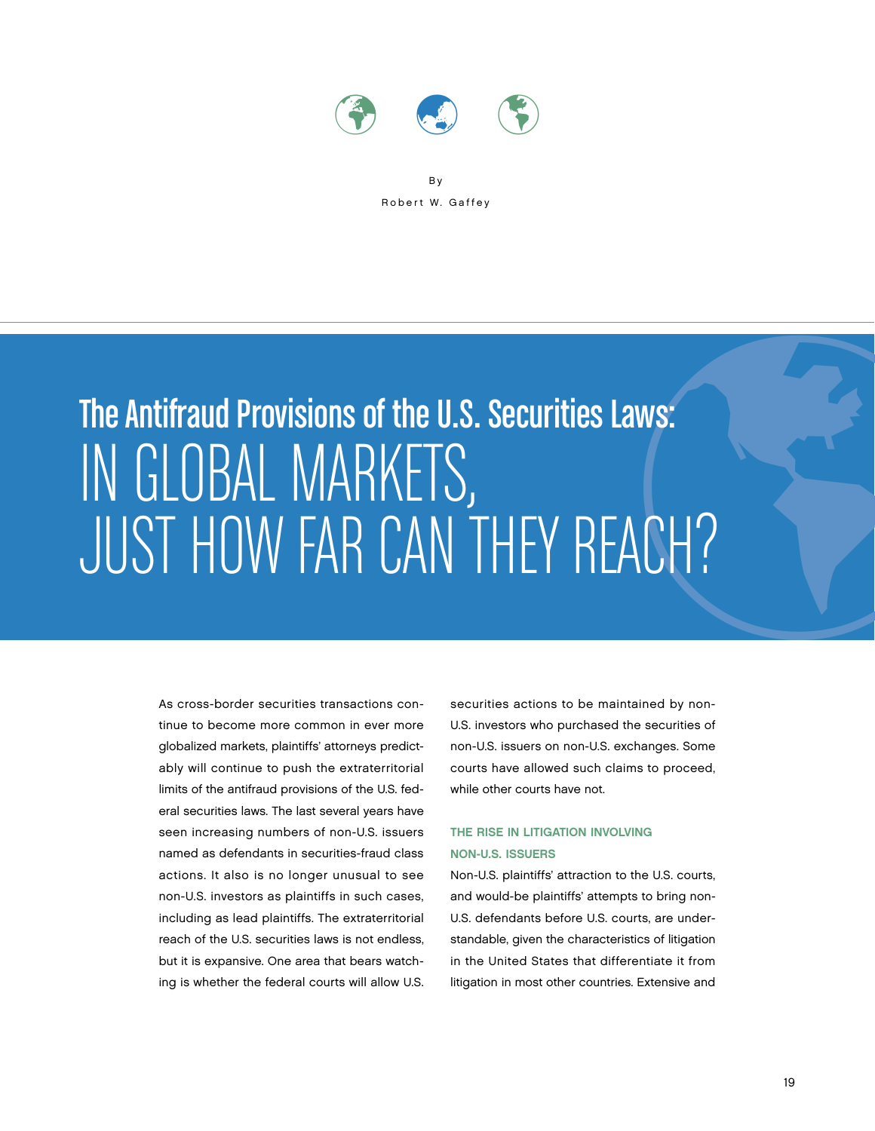

B y Robert W. Gaffey

# Just How Far The Antifraud Provisions of the U.S. Securities Laws: IN GLOBAL MARKETS, F the U.S. Securities Laws:<br>KETS,<br>CAN THEY REACH?

As cross-border securities transactions continue to become more common in ever more globalized markets, plaintiffs' attorneys predictably will continue to push the extraterritorial limits of the antifraud provisions of the U.S. federal securities laws. The last several years have seen increasing numbers of non-U.S. issuers named as defendants in securities-fraud class actions. It also is no longer unusual to see non-U.S. investors as plaintiffs in such cases, including as lead plaintiffs. The extraterritorial reach of the U.S. securities laws is not endless, but it is expansive. One area that bears watching is whether the federal courts will allow U.S. securities actions to be maintained by non-U.S. investors who purchased the securities of non-U.S. issuers on non-U.S. exchanges. Some courts have allowed such claims to proceed, while other courts have not.

## The Rise in Litigation Involving Non-U.S. Issuers

Non-U.S. plaintiffs' attraction to the U.S. courts, and would-be plaintiffs' attempts to bring non-U.S. defendants before U.S. courts, are understandable, given the characteristics of litigation in the United States that differentiate it from litigation in most other countries. Extensive and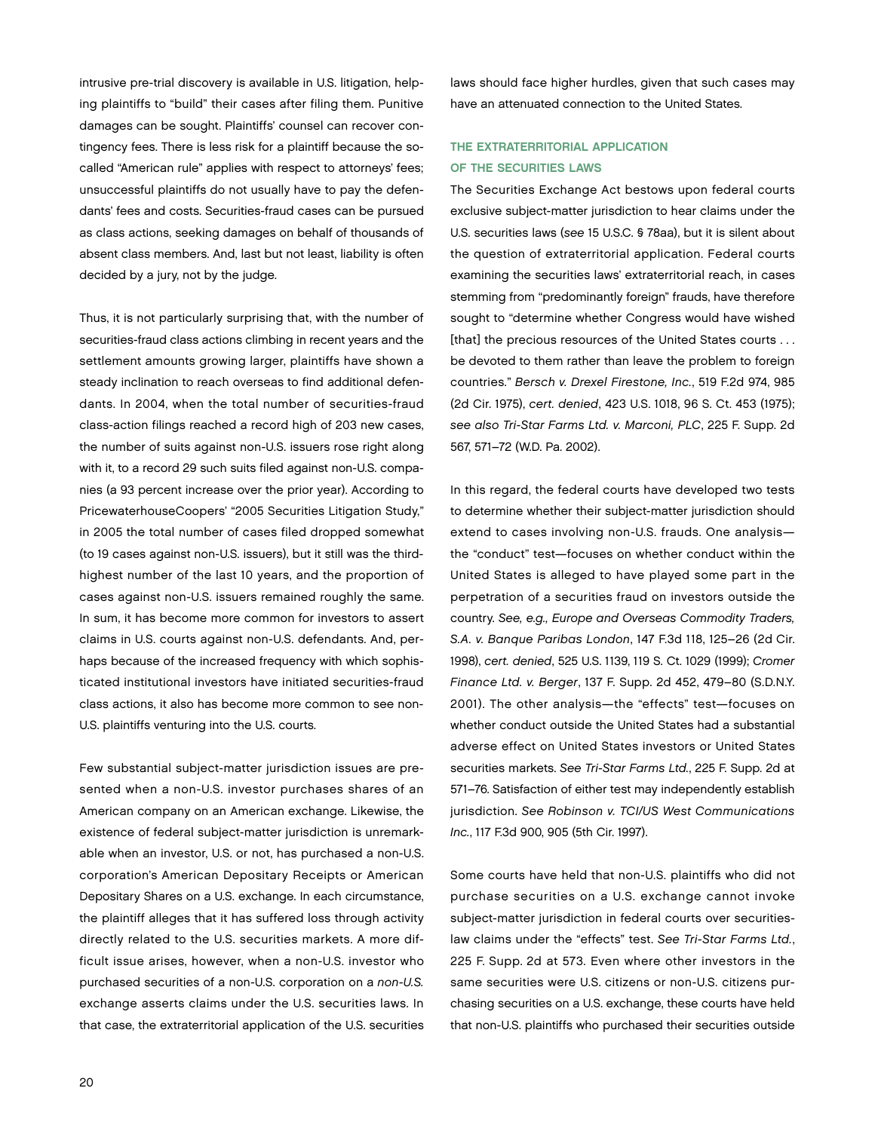intrusive pre-trial discovery is available in U.S. litigation, helping plaintiffs to "build" their cases after filing them. Punitive damages can be sought. Plaintiffs' counsel can recover contingency fees. There is less risk for a plaintiff because the socalled "American rule" applies with respect to attorneys' fees; unsuccessful plaintiffs do not usually have to pay the defendants' fees and costs. Securities-fraud cases can be pursued as class actions, seeking damages on behalf of thousands of absent class members. And, last but not least, liability is often decided by a jury, not by the judge.

Thus, it is not particularly surprising that, with the number of securities-fraud class actions climbing in recent years and the settlement amounts growing larger, plaintiffs have shown a steady inclination to reach overseas to find additional defendants. In 2004, when the total number of securities-fraud class-action filings reached a record high of 203 new cases, the number of suits against non-U.S. issuers rose right along with it, to a record 29 such suits filed against non-U.S. companies (a 93 percent increase over the prior year). According to PricewaterhouseCoopers' "2005 Securities Litigation Study," in 2005 the total number of cases filed dropped somewhat (to 19 cases against non-U.S. issuers), but it still was the thirdhighest number of the last 10 years, and the proportion of cases against non-U.S. issuers remained roughly the same. In sum, it has become more common for investors to assert claims in U.S. courts against non-U.S. defendants. And, perhaps because of the increased frequency with which sophisticated institutional investors have initiated securities-fraud class actions, it also has become more common to see non-U.S. plaintiffs venturing into the U.S. courts.

Few substantial subject-matter jurisdiction issues are presented when a non-U.S. investor purchases shares of an American company on an American exchange. Likewise, the existence of federal subject-matter jurisdiction is unremarkable when an investor, U.S. or not, has purchased a non-U.S. corporation's American Depositary Receipts or American Depositary Shares on a U.S. exchange. In each circumstance, the plaintiff alleges that it has suffered loss through activity directly related to the U.S. securities markets. A more difficult issue arises, however, when a non-U.S. investor who purchased securities of a non-U.S. corporation on a non-U.S. exchange asserts claims under the U.S. securities laws. In that case, the extraterritorial application of the U.S. securities

laws should face higher hurdles, given that such cases may have an attenuated connection to the United States.

## THE EXTRATERRITORIAL APPLICATION OF THE SECURITIES LAWS

The Securities Exchange Act bestows upon federal courts exclusive subject-matter jurisdiction to hear claims under the U.S. securities laws (see 15 U.S.C. § 78aa), but it is silent about the question of extraterritorial application. Federal courts examining the securities laws' extraterritorial reach, in cases stemming from "predominantly foreign" frauds, have therefore sought to "determine whether Congress would have wished [that] the precious resources of the United States courts . . . be devoted to them rather than leave the problem to foreign countries." Bersch v. Drexel Firestone, Inc., 519 F.2d 974, 985 (2d Cir. 1975), cert. denied, 423 U.S. 1018, 96 S. Ct. 453 (1975); see also Tri-Star Farms Ltd. v. Marconi, PLC, 225 F. Supp. 2d 567, 571–72 (W.D. Pa. 2002).

In this regard, the federal courts have developed two tests to determine whether their subject-matter jurisdiction should extend to cases involving non-U.S. frauds. One analysis the "conduct" test—focuses on whether conduct within the United States is alleged to have played some part in the perpetration of a securities fraud on investors outside the country. See, e.g., Europe and Overseas Commodity Traders, S.A. v. Banque Paribas London, 147 F.3d 118, 125–26 (2d Cir. 1998), cert. denied, 525 U.S. 1139, 119 S. Ct. 1029 (1999); Cromer Finance Ltd. v. Berger, 137 F. Supp. 2d 452, 479–80 (S.D.N.Y. 2001). The other analysis—the "effects" test—focuses on whether conduct outside the United States had a substantial adverse effect on United States investors or United States securities markets. See Tri-Star Farms Ltd., 225 F. Supp. 2d at 571–76. Satisfaction of either test may independently establish jurisdiction. See Robinson v. TCI/US West Communications Inc., 117 F.3d 900, 905 (5th Cir. 1997).

Some courts have held that non-U.S. plaintiffs who did not purchase securities on a U.S. exchange cannot invoke subject-matter jurisdiction in federal courts over securitieslaw claims under the "effects" test. See Tri-Star Farms Ltd., 225 F. Supp. 2d at 573. Even where other investors in the same securities were U.S. citizens or non-U.S. citizens purchasing securities on a U.S. exchange, these courts have held that non-U.S. plaintiffs who purchased their securities outside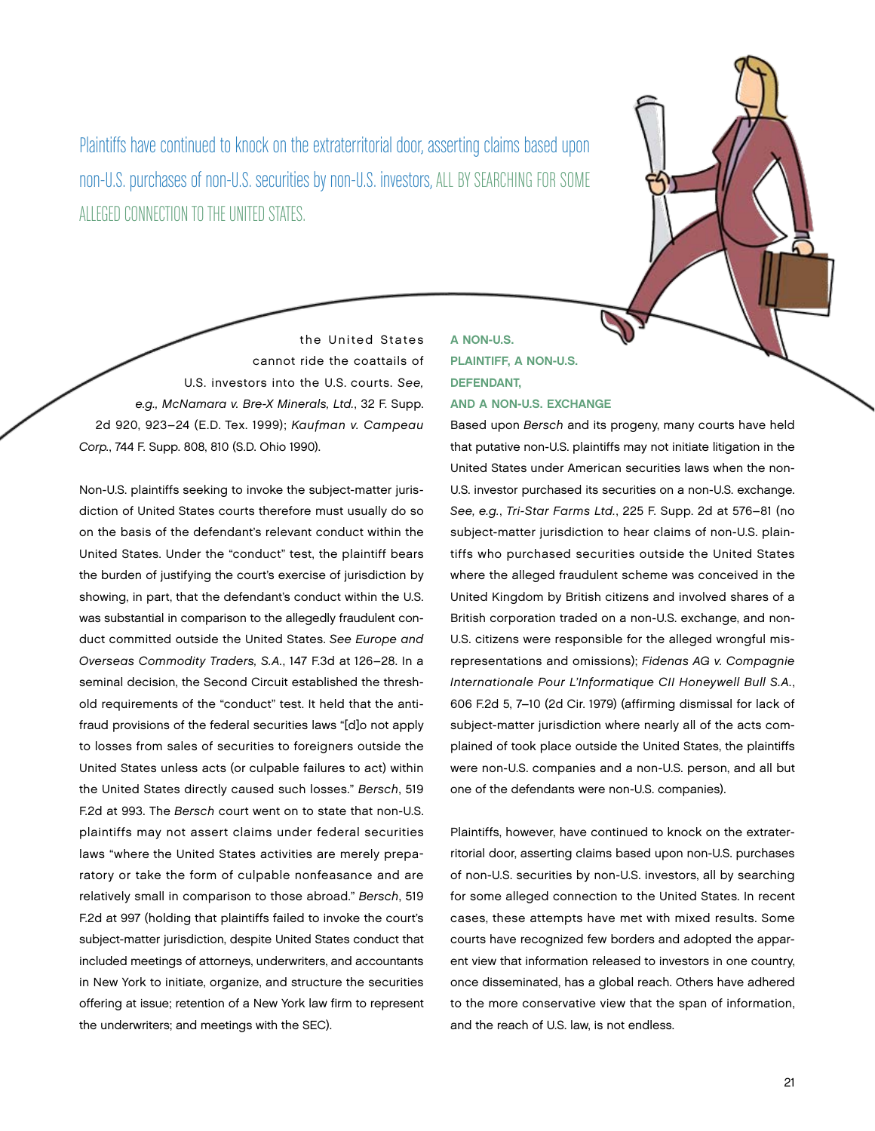Plaintiffs have continued to knock on the extraterritorial door, asserting claims based upon non-U.S. purchases of non-U.S. securities by non-U.S. investors, all by searching for some alleged connection to the United States.

the United States cannot ride the coattails of U.S. investors into the U.S. courts. See, e.g., McNamara v. Bre-X Minerals, Ltd., 32 F. Supp. 2d 920, 923–24 (E.D. Tex. 1999); Kaufman v. Campeau Corp., 744 F. Supp. 808, 810 (S.D. Ohio 1990).

Non-U.S. plaintiffs seeking to invoke the subject-matter jurisdiction of United States courts therefore must usually do so on the basis of the defendant's relevant conduct within the United States. Under the "conduct" test, the plaintiff bears the burden of justifying the court's exercise of jurisdiction by showing, in part, that the defendant's conduct within the U.S. was substantial in comparison to the allegedly fraudulent conduct committed outside the United States. See Europe and Overseas Commodity Traders, S.A., 147 F.3d at 126–28. In a seminal decision, the Second Circuit established the threshold requirements of the "conduct" test. It held that the antifraud provisions of the federal securities laws "[d]o not apply to losses from sales of securities to foreigners outside the United States unless acts (or culpable failures to act) within the United States directly caused such losses." Bersch, 519 F.2d at 993. The Bersch court went on to state that non-U.S. plaintiffs may not assert claims under federal securities laws "where the United States activities are merely preparatory or take the form of culpable nonfeasance and are relatively small in comparison to those abroad." Bersch, 519 F.2d at 997 (holding that plaintiffs failed to invoke the court's subject-matter jurisdiction, despite United States conduct that included meetings of attorneys, underwriters, and accountants in New York to initiate, organize, and structure the securities offering at issue; retention of a New York law firm to represent the underwriters; and meetings with the SEC).

# A Non-U.S. Plaintiff, a Non-U.S. Defendant, and a Non-U.S. Exchange

Based upon Bersch and its progeny, many courts have held that putative non-U.S. plaintiffs may not initiate litigation in the United States under American securities laws when the non-U.S. investor purchased its securities on a non-U.S. exchange. See, e.g., Tri-Star Farms Ltd., 225 F. Supp. 2d at 576–81 (no subject-matter jurisdiction to hear claims of non-U.S. plaintiffs who purchased securities outside the United States where the alleged fraudulent scheme was conceived in the United Kingdom by British citizens and involved shares of a British corporation traded on a non-U.S. exchange, and non-U.S. citizens were responsible for the alleged wrongful misrepresentations and omissions); Fidenas AG v. Compagnie Internationale Pour L'Informatique CII Honeywell Bull S.A., 606 F.2d 5, 7–10 (2d Cir. 1979) (affirming dismissal for lack of subject-matter jurisdiction where nearly all of the acts complained of took place outside the United States, the plaintiffs were non-U.S. companies and a non-U.S. person, and all but one of the defendants were non-U.S. companies).

Plaintiffs, however, have continued to knock on the extraterritorial door, asserting claims based upon non-U.S. purchases of non-U.S. securities by non-U.S. investors, all by searching for some alleged connection to the United States. In recent cases, these attempts have met with mixed results. Some courts have recognized few borders and adopted the apparent view that information released to investors in one country, once disseminated, has a global reach. Others have adhered to the more conservative view that the span of information, and the reach of U.S. law, is not endless.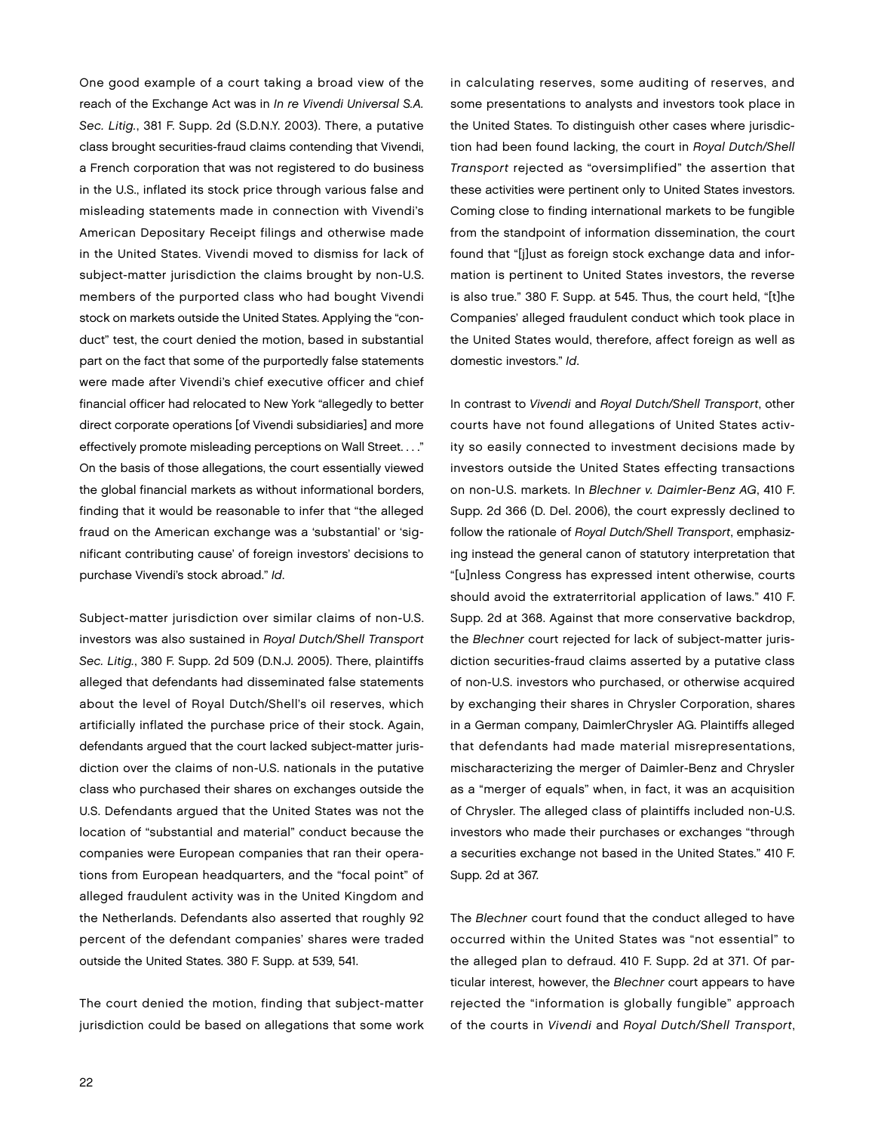One good example of a court taking a broad view of the reach of the Exchange Act was in In re Vivendi Universal S.A. Sec. Litig., 381 F. Supp. 2d (S.D.N.Y. 2003). There, a putative class brought securities-fraud claims contending that Vivendi, a French corporation that was not registered to do business in the U.S., inflated its stock price through various false and misleading statements made in connection with Vivendi's American Depositary Receipt filings and otherwise made in the United States. Vivendi moved to dismiss for lack of subject-matter jurisdiction the claims brought by non-U.S. members of the purported class who had bought Vivendi stock on markets outside the United States. Applying the "conduct" test, the court denied the motion, based in substantial part on the fact that some of the purportedly false statements were made after Vivendi's chief executive officer and chief financial officer had relocated to New York "allegedly to better direct corporate operations [of Vivendi subsidiaries] and more effectively promote misleading perceptions on Wall Street. . . ." On the basis of those allegations, the court essentially viewed the global financial markets as without informational borders, finding that it would be reasonable to infer that "the alleged fraud on the American exchange was a 'substantial' or 'significant contributing cause' of foreign investors' decisions to purchase Vivendi's stock abroad." Id.

Subject-matter jurisdiction over similar claims of non-U.S. investors was also sustained in Royal Dutch/Shell Transport Sec. Litig., 380 F. Supp. 2d 509 (D.N.J. 2005). There, plaintiffs alleged that defendants had disseminated false statements about the level of Royal Dutch/Shell's oil reserves, which artificially inflated the purchase price of their stock. Again, defendants argued that the court lacked subject-matter jurisdiction over the claims of non-U.S. nationals in the putative class who purchased their shares on exchanges outside the U.S. Defendants argued that the United States was not the location of "substantial and material" conduct because the companies were European companies that ran their operations from European headquarters, and the "focal point" of alleged fraudulent activity was in the United Kingdom and the Netherlands. Defendants also asserted that roughly 92 percent of the defendant companies' shares were traded outside the United States. 380 F. Supp. at 539, 541.

The court denied the motion, finding that subject-matter jurisdiction could be based on allegations that some work in calculating reserves, some auditing of reserves, and some presentations to analysts and investors took place in the United States. To distinguish other cases where jurisdiction had been found lacking, the court in Royal Dutch/Shell Transport rejected as "oversimplified" the assertion that these activities were pertinent only to United States investors. Coming close to finding international markets to be fungible from the standpoint of information dissemination, the court found that "[j]ust as foreign stock exchange data and information is pertinent to United States investors, the reverse is also true." 380 F. Supp. at 545. Thus, the court held, "[t]he Companies' alleged fraudulent conduct which took place in the United States would, therefore, affect foreign as well as domestic investors." Id.

In contrast to Vivendi and Royal Dutch/Shell Transport, other courts have not found allegations of United States activity so easily connected to investment decisions made by investors outside the United States effecting transactions on non-U.S. markets. In Blechner v. Daimler-Benz AG, 410 F. Supp. 2d 366 (D. Del. 2006), the court expressly declined to follow the rationale of Royal Dutch/Shell Transport, emphasizing instead the general canon of statutory interpretation that "[u]nless Congress has expressed intent otherwise, courts should avoid the extraterritorial application of laws." 410 F. Supp. 2d at 368. Against that more conservative backdrop, the Blechner court rejected for lack of subject-matter jurisdiction securities-fraud claims asserted by a putative class of non-U.S. investors who purchased, or otherwise acquired by exchanging their shares in Chrysler Corporation, shares in a German company, DaimlerChrysler AG. Plaintiffs alleged that defendants had made material misrepresentations, mischaracterizing the merger of Daimler-Benz and Chrysler as a "merger of equals" when, in fact, it was an acquisition of Chrysler. The alleged class of plaintiffs included non-U.S. investors who made their purchases or exchanges "through a securities exchange not based in the United States." 410 F. Supp. 2d at 367.

The Blechner court found that the conduct alleged to have occurred within the United States was "not essential" to the alleged plan to defraud. 410 F. Supp. 2d at 371. Of particular interest, however, the Blechner court appears to have rejected the "information is globally fungible" approach of the courts in Vivendi and Royal Dutch/Shell Transport,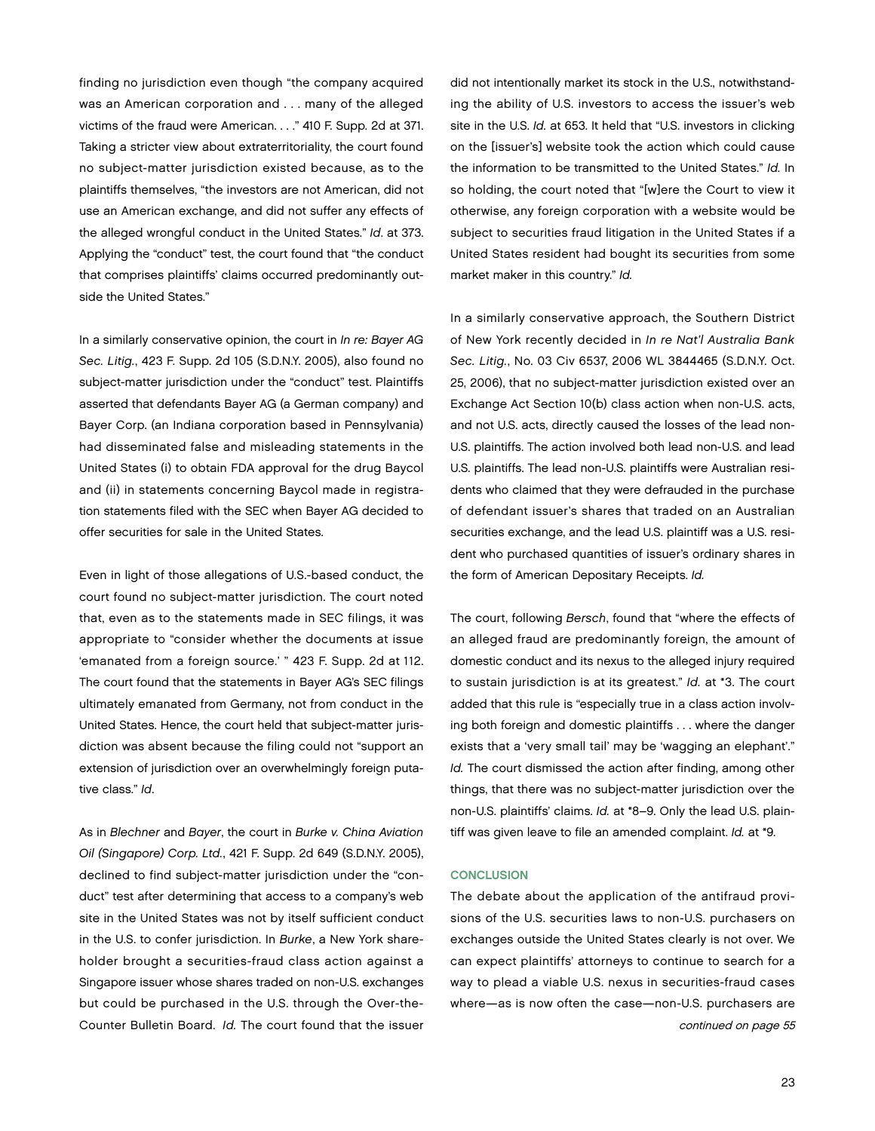finding no jurisdiction even though "the company acquired was an American corporation and . . . many of the alleged victims of the fraud were American. . . ." 410 F. Supp. 2d at 371. Taking a stricter view about extraterritoriality, the court found no subject-matter jurisdiction existed because, as to the plaintiffs themselves, "the investors are not American, did not use an American exchange, and did not suffer any effects of the alleged wrongful conduct in the United States." Id. at 373. Applying the "conduct" test, the court found that "the conduct that comprises plaintiffs' claims occurred predominantly outside the United States."

In a similarly conservative opinion, the court in In re: Bayer AG Sec. Litig., 423 F. Supp. 2d 105 (S.D.N.Y. 2005), also found no subject-matter jurisdiction under the "conduct" test. Plaintiffs asserted that defendants Bayer AG (a German company) and Bayer Corp. (an Indiana corporation based in Pennsylvania) had disseminated false and misleading statements in the United States (i) to obtain FDA approval for the drug Baycol and (ii) in statements concerning Baycol made in registration statements filed with the SEC when Bayer AG decided to offer securities for sale in the United States.

Even in light of those allegations of U.S.-based conduct, the court found no subject-matter jurisdiction. The court noted that, even as to the statements made in SEC filings, it was appropriate to "consider whether the documents at issue 'emanated from a foreign source.' " 423 F. Supp. 2d at 112. The court found that the statements in Bayer AG's SEC filings ultimately emanated from Germany, not from conduct in the United States. Hence, the court held that subject-matter jurisdiction was absent because the filing could not "support an extension of jurisdiction over an overwhelmingly foreign putative class." Id.

As in Blechner and Bayer, the court in Burke v. China Aviation Oil (Singapore) Corp. Ltd., 421 F. Supp. 2d 649 (S.D.N.Y. 2005), declined to find subject-matter jurisdiction under the "conduct" test after determining that access to a company's web site in the United States was not by itself sufficient conduct in the U.S. to confer jurisdiction. In Burke, a New York shareholder brought a securities-fraud class action against a Singapore issuer whose shares traded on non-U.S. exchanges but could be purchased in the U.S. through the Over-the-Counter Bulletin Board. Id. The court found that the issuer

did not intentionally market its stock in the U.S., notwithstanding the ability of U.S. investors to access the issuer's web site in the U.S. Id. at 653. It held that "U.S. investors in clicking on the [issuer's] website took the action which could cause the information to be transmitted to the United States." Id. In so holding, the court noted that "[w]ere the Court to view it otherwise, any foreign corporation with a website would be subject to securities fraud litigation in the United States if a United States resident had bought its securities from some market maker in this country." Id.

In a similarly conservative approach, the Southern District of New York recently decided in In re Nat'l Australia Bank Sec. Litig., No. 03 Civ 6537, 2006 WL 3844465 (S.D.N.Y. Oct. 25, 2006), that no subject-matter jurisdiction existed over an Exchange Act Section 10(b) class action when non-U.S. acts, and not U.S. acts, directly caused the losses of the lead non-U.S. plaintiffs. The action involved both lead non-U.S. and lead U.S. plaintiffs. The lead non-U.S. plaintiffs were Australian residents who claimed that they were defrauded in the purchase of defendant issuer's shares that traded on an Australian securities exchange, and the lead U.S. plaintiff was a U.S. resident who purchased quantities of issuer's ordinary shares in the form of American Depositary Receipts. Id.

The court, following Bersch, found that "where the effects of an alleged fraud are predominantly foreign, the amount of domestic conduct and its nexus to the alleged injury required to sustain jurisdiction is at its greatest." Id. at \*3. The court added that this rule is "especially true in a class action involving both foreign and domestic plaintiffs . . . where the danger exists that a 'very small tail' may be 'wagging an elephant'." Id. The court dismissed the action after finding, among other things, that there was no subject-matter jurisdiction over the non-U.S. plaintiffs' claims. Id. at \*8–9. Only the lead U.S. plaintiff was given leave to file an amended complaint. Id. at \*9.

#### **CONCLUSION**

The debate about the application of the antifraud provisions of the U.S. securities laws to non-U.S. purchasers on exchanges outside the United States clearly is not over. We can expect plaintiffs' attorneys to continue to search for a way to plead a viable U.S. nexus in securities-fraud cases where—as is now often the case—non-U.S. purchasers are continued on page 55